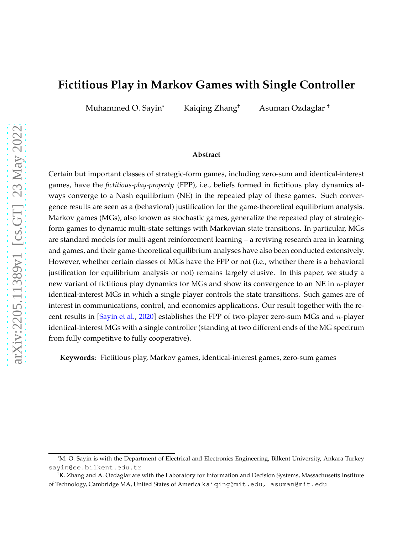# **Fictitious Play in Markov Games with Single Controller**

Muhammed O. Sayin\* Kaiqing Zhang† Asuman Ozdaglar †

#### **Abstract**

Certain but important classes of strategic-form games, including zero-sum and identical-interest games, have the *fictitious-play-property* (FPP), i.e., beliefs formed in fictitious play dynamics always converge to a Nash equilibrium (NE) in the repeated play of these games. Such convergence results are seen as a (behavioral) justification for the game-theoretical equilibrium analysis. Markov games (MGs), also known as stochastic games, generalize the repeated play of strategicform games to dynamic multi-state settings with Markovian state transitions. In particular, MGs are standard models for multi-agent reinforcement learning – a reviving research area in learning and games, and their game-theoretical equilibrium analyses have also been conducted extensively. However, whether certain classes of MGs have the FPP or not (i.e., whether there is a behavioral justification for equilibrium analysis or not) remains largely elusive. In this paper, we study a new variant of fictitious play dynamics for MGs and show its convergence to an NE in  $n$ -player identical-interest MGs in which a single player controls the state transitions. Such games are of interest in communications, control, and economics applications. Our result together with the recent results in [\[Sayin et al.,](#page-23-0) [2020\]](#page-23-0) establishes the FPP of two-player zero-sum MGs and n-player identical-interest MGs with a single controller (standing at two different ends of the MG spectrum from fully competitive to fully cooperative).

**Keywords:** Fictitious play, Markov games, identical-interest games, zero-sum games

<sup>\*</sup>M. O. Sayin is with the Department of Electrical and Electronics Engineering, Bilkent University, Ankara Turkey sayin@ee.bilkent.edu.tr

<sup>†</sup>K. Zhang and A. Ozdaglar are with the Laboratory for Information and Decision Systems, Massachusetts Institute of Technology, Cambridge MA, United States of America kaiqing@mit.edu, asuman@mit.edu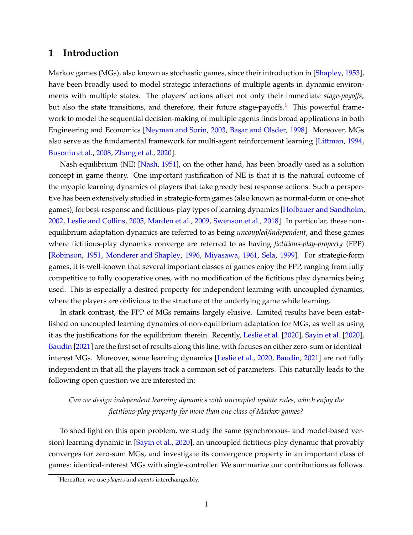### **1 Introduction**

Markov games (MGs), also known as stochastic games, since their introduction in [\[Shapley,](#page-23-1) [1953](#page-23-1)], have been broadly used to model strategic interactions of multiple agents in dynamic environments with multiple states. The players' actions affect not only their immediate *stage-payoffs*, but also the state transitions, and therefore, their future stage-payoffs.<sup>1</sup> This powerful framework to model the sequential decision-making of multiple agents finds broad applications in both Engineering and Economics [\[Neyman and Sorin,](#page-23-2) [2003,](#page-23-2) Başar and Olsder, [1998\]](#page-21-0). Moreover, MGs also serve as the fundamental framework for multi-agent reinforcement learning [\[Littman,](#page-22-0) [1994](#page-22-0), [Busoniu et al.](#page-21-1), [2008,](#page-21-1) [Zhang et al.](#page-24-0), [2020](#page-24-0)].

Nash equilibrium (NE) [\[Nash,](#page-23-3) [1951](#page-23-3)], on the other hand, has been broadly used as a solution concept in game theory. One important justification of NE is that it is the natural outcome of the myopic learning dynamics of players that take greedy best response actions. Such a perspective has been extensively studied in strategic-form games (also known as normal-form or one-shot games), for best-response and fictitious-play types of learning dynamics [\[Hofbauer and Sandholm,](#page-22-1) [2002,](#page-22-1) [Leslie and Collins,](#page-22-2) [2005](#page-22-2), [Marden et al.](#page-23-4), [2009](#page-23-4), [Swenson et al.](#page-23-5), [2018](#page-23-5)]. In particular, these nonequilibrium adaptation dynamics are referred to as being *uncoupled/independent*, and these games where fictitious-play dynamics converge are referred to as having *fictitious-play-property* (FPP) [\[Robinson](#page-23-6), [1951](#page-23-6), [Monderer and Shapley,](#page-23-7) [1996](#page-23-7), [Miyasawa](#page-23-8), [1961,](#page-23-8) [Sela](#page-23-9), [1999](#page-23-9)]. For strategic-form games, it is well-known that several important classes of games enjoy the FPP, ranging from fully competitive to fully cooperative ones, with no modification of the fictitious play dynamics being used. This is especially a desired property for independent learning with uncoupled dynamics, where the players are oblivious to the structure of the underlying game while learning.

In stark contrast, the FPP of MGs remains largely elusive. Limited results have been established on uncoupled learning dynamics of non-equilibrium adaptation for MGs, as well as using it as the justifications for the equilibrium therein. Recently, [Leslie et al.](#page-22-3) [\[2020](#page-22-3)], [Sayin et al.](#page-23-0) [\[2020](#page-23-0)], [Baudin](#page-21-2) [\[2021](#page-21-2)] are the first set of results along this line, with focuses on either zero-sum or identicalinterest MGs. Moreover, some learning dynamics [\[Leslie et al.,](#page-22-3) [2020](#page-22-3), [Baudin,](#page-21-2) [2021\]](#page-21-2) are not fully independent in that all the players track a common set of parameters. This naturally leads to the following open question we are interested in:

### *Can we design independent learning dynamics with uncoupled update rules, which enjoy the fictitious-play-property for more than one class of Markov games?*

To shed light on this open problem, we study the same (synchronous- and model-based version) learning dynamic in [\[Sayin et al.,](#page-23-0) [2020\]](#page-23-0), an uncoupled fictitious-play dynamic that provably converges for zero-sum MGs, and investigate its convergence property in an important class of games: identical-interest MGs with single-controller. We summarize our contributions as follows.

<sup>1</sup>Hereafter, we use *players* and *agents* interchangeably.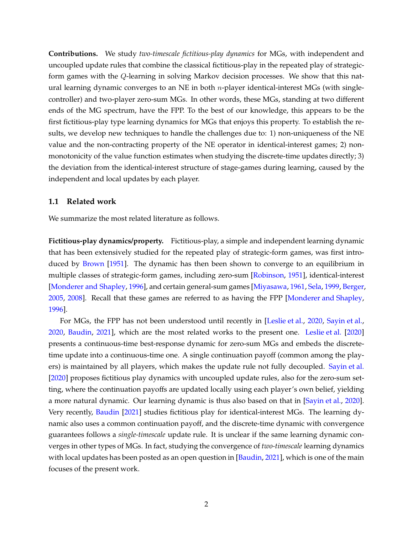**Contributions.** We study *two-timescale fictitious-play dynamics* for MGs, with independent and uncoupled update rules that combine the classical fictitious-play in the repeated play of strategicform games with the Q-learning in solving Markov decision processes. We show that this natural learning dynamic converges to an NE in both  $n$ -player identical-interest MGs (with singlecontroller) and two-player zero-sum MGs. In other words, these MGs, standing at two different ends of the MG spectrum, have the FPP. To the best of our knowledge, this appears to be the first fictitious-play type learning dynamics for MGs that enjoys this property. To establish the results, we develop new techniques to handle the challenges due to: 1) non-uniqueness of the NE value and the non-contracting property of the NE operator in identical-interest games; 2) nonmonotonicity of the value function estimates when studying the discrete-time updates directly; 3) the deviation from the identical-interest structure of stage-games during learning, caused by the independent and local updates by each player.

#### **1.1 Related work**

We summarize the most related literature as follows.

**Fictitious-play dynamics/property.** Fictitious-play, a simple and independent learning dynamic that has been extensively studied for the repeated play of strategic-form games, was first introduced by [Brown](#page-21-3) [\[1951](#page-21-3)]. The dynamic has then been shown to converge to an equilibrium in multiple classes of strategic-form games, including zero-sum [\[Robinson](#page-23-6), [1951](#page-23-6)], identical-interest [\[Monderer and Shapley](#page-23-7), [1996\]](#page-23-7), and certain general-sum games [\[Miyasawa,](#page-23-8) [1961](#page-23-8), [Sela,](#page-23-9) [1999](#page-23-9), [Berger,](#page-21-4) [2005,](#page-21-4) [2008](#page-21-5)]. Recall that these games are referred to as having the FPP [\[Monderer and Shapley](#page-23-7), [1996\]](#page-23-7).

For MGs, the FPP has not been understood until recently in [\[Leslie et al.,](#page-22-3) [2020](#page-22-3), [Sayin et al.](#page-23-0), [2020,](#page-23-0) [Baudin,](#page-21-2) [2021](#page-21-2)], which are the most related works to the present one. [Leslie et al.](#page-22-3) [\[2020](#page-22-3)] presents a continuous-time best-response dynamic for zero-sum MGs and embeds the discretetime update into a continuous-time one. A single continuation payoff (common among the players) is maintained by all players, which makes the update rule not fully decoupled. [Sayin et al.](#page-23-0) [\[2020](#page-23-0)] proposes fictitious play dynamics with uncoupled update rules, also for the zero-sum setting, where the continuation payoffs are updated locally using each player's own belief, yielding a more natural dynamic. Our learning dynamic is thus also based on that in [\[Sayin et al.,](#page-23-0) [2020](#page-23-0)]. Very recently, [Baudin](#page-21-2) [\[2021](#page-21-2)] studies fictitious play for identical-interest MGs. The learning dynamic also uses a common continuation payoff, and the discrete-time dynamic with convergence guarantees follows a *single-timescale* update rule. It is unclear if the same learning dynamic converges in other types of MGs. In fact, studying the convergence of *two-timescale* learning dynamics with local updates has been posted as an open question in [\[Baudin](#page-21-2), [2021](#page-21-2)], which is one of the main focuses of the present work.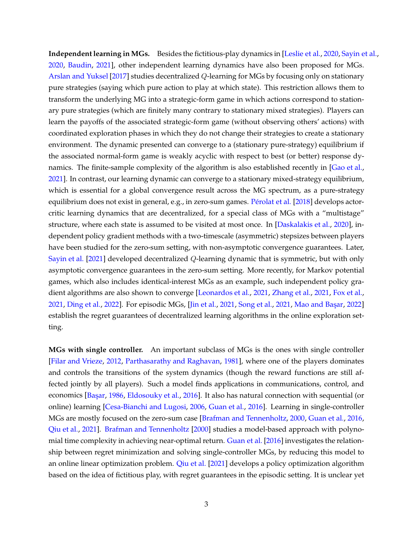**Independent learning in MGs.** Besides the fictitious-play dynamics in [\[Leslie et al.](#page-22-3), [2020,](#page-22-3) [Sayin et al.](#page-23-0), [2020,](#page-23-0) [Baudin,](#page-21-2) [2021\]](#page-21-2), other independent learning dynamics have also been proposed for MGs. [Arslan and Yuksel](#page-21-6) [\[2017](#page-21-6)] studies decentralized Q-learning for MGs by focusing only on stationary pure strategies (saying which pure action to play at which state). This restriction allows them to transform the underlying MG into a strategic-form game in which actions correspond to stationary pure strategies (which are finitely many contrary to stationary mixed strategies). Players can learn the payoffs of the associated strategic-form game (without observing others' actions) with coordinated exploration phases in which they do not change their strategies to create a stationary environment. The dynamic presented can converge to a (stationary pure-strategy) equilibrium if the associated normal-form game is weakly acyclic with respect to best (or better) response dynamics. The finite-sample complexity of the algorithm is also established recently in [\[Gao et al.](#page-22-4), [2021\]](#page-22-4). In contrast, our learning dynamic can converge to a stationary mixed-strategy equilibrium, which is essential for a global convergence result across the MG spectrum, as a pure-strategy equilibrium does not exist in general, e.g., in zero-sum games. Pérolat et al. [\[2018](#page-23-10)] develops actorcritic learning dynamics that are decentralized, for a special class of MGs with a "multistage" structure, where each state is assumed to be visited at most once. In [\[Daskalakis et al.](#page-22-5), [2020](#page-22-5)], independent policy gradient methods with a two-timescale (asymmetric) stepsizes between players have been studied for the zero-sum setting, with non-asymptotic convergence guarantees. Later, [Sayin et al.](#page-23-11) [\[2021](#page-23-11)] developed decentralized Q-learning dynamic that is symmetric, but with only asymptotic convergence guarantees in the zero-sum setting. More recently, for Markov potential games, which also includes identical-interest MGs as an example, such independent policy gradient algorithms are also shown to converge [\[Leonardos et al.](#page-22-6), [2021,](#page-22-6) [Zhang et al.,](#page-24-1) [2021](#page-24-1), [Fox et al.](#page-22-7), [2021,](#page-22-7) [Ding et al.](#page-22-8), [2022](#page-23-13)]. For episodic MGs, [\[Jin et al.,](#page-22-9) [2021](#page-23-12), [Song et al.,](#page-23-12) 2021, Mao and Başar, 2022] establish the regret guarantees of decentralized learning algorithms in the online exploration setting.

**MGs with single controller.** An important subclass of MGs is the ones with single controller [\[Filar and Vrieze](#page-22-10), [2012](#page-22-10), [Parthasarathy and Raghavan](#page-23-14), [1981](#page-23-14)], where one of the players dominates and controls the transitions of the system dynamics (though the reward functions are still affected jointly by all players). Such a model finds applications in communications, control, and economics [Başar, [1986](#page-21-7), [Eldosouky et al.](#page-22-11), [2016](#page-22-11)]. It also has natural connection with sequential (or online) learning [\[Cesa-Bianchi and Lugosi,](#page-22-12) [2006](#page-22-12), [Guan et al.](#page-22-13), [2016\]](#page-22-13). Learning in single-controller MGs are mostly focused on the zero-sum case [\[Brafman and Tennenholtz,](#page-21-8) [2000](#page-21-8), [Guan et al.,](#page-22-13) [2016](#page-22-13), [Qiu et al.,](#page-23-15) [2021\]](#page-23-15). [Brafman and Tennenholtz](#page-21-8) [\[2000](#page-21-8)] studies a model-based approach with polynomial time complexity in achieving near-optimal return. [Guan et al.](#page-22-13) [\[2016\]](#page-22-13) investigates the relationship between regret minimization and solving single-controller MGs, by reducing this model to an online linear optimization problem. [Qiu et al.](#page-23-15) [\[2021\]](#page-23-15) develops a policy optimization algorithm based on the idea of fictitious play, with regret guarantees in the episodic setting. It is unclear yet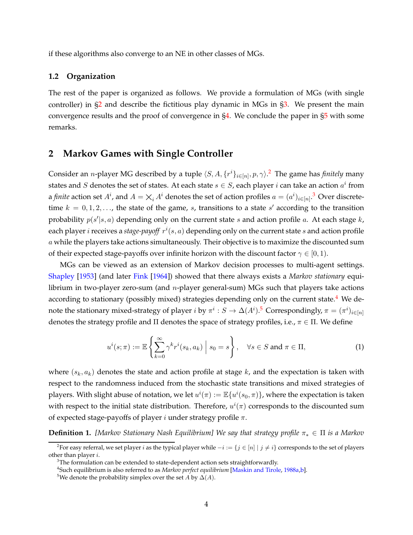if these algorithms also converge to an NE in other classes of MGs.

#### **1.2 Organization**

The rest of the paper is organized as follows. We provide a formulation of MGs (with single controller) in [§2](#page-4-0) and describe the fictitious play dynamic in MGs in [§3.](#page-5-0) We present the main convergence results and the proof of convergence in [§4.](#page-7-0) We conclude the paper in [§5](#page-13-0) with some remarks.

### <span id="page-4-0"></span>**2 Markov Games with Single Controller**

Consider an *n*-player MG described by a tuple  $\langle S, A, \{r^i\}_{i \in [n]}, p, \gamma \rangle$ .<sup>2</sup> The game has *finitely* many states and  $S$  denotes the set of states. At each state  $s \in S$ , each player  $i$  can take an action  $a^i$  from a *finite* action set  $A^i$ , and  $A = \times_i A^i$  denotes the set of action profiles  $a = (a^i)_{i \in [n]}$ .<sup>3</sup> Over discretetime  $k = 0, 1, 2, \ldots$ , the state of the game, s, transitions to a state s' according to the transition probability  $p(s'|s, a)$  depending only on the current state s and action profile a. At each stage k, each player  $i$  receives a stage-payoff  $r^i(s, a)$  depending only on the current state  $s$  and action profile a while the players take actions simultaneously. Their objective is to maximize the discounted sum of their expected stage-payoffs over infinite horizon with the discount factor  $\gamma \in [0, 1)$ .

MGs can be viewed as an extension of Markov decision processes to multi-agent settings. [Shapley](#page-23-1) [\[1953](#page-23-1)] (and later [Fink](#page-22-14) [\[1964](#page-22-14)]) showed that there always exists a *Markov stationary* equilibrium in two-player zero-sum (and n-player general-sum) MGs such that players take actions according to stationary (possibly mixed) strategies depending only on the current state.<sup>4</sup> We denote the stationary mixed-strategy of player  $i$  by  $\pi^i:S\to \Delta(A^i)$ .<sup>5</sup> Correspondingly,  $\pi=(\pi^i)_{i\in [n]}$ denotes the strategy profile and  $\Pi$  denotes the space of strategy profiles, i.e.,  $\pi \in \Pi$ . We define

<span id="page-4-1"></span>
$$
u^{i}(s;\pi) := \mathbb{E}\left\{\sum_{k=0}^{\infty} \gamma^{k} r^{i}(s_{k}, a_{k}) \mid s_{0} = s\right\}, \quad \forall s \in S \text{ and } \pi \in \Pi,
$$
 (1)

where  $(s_k, a_k)$  denotes the state and action profile at stage k, and the expectation is taken with respect to the randomness induced from the stochastic state transitions and mixed strategies of players. With slight abuse of notation, we let  $u^i(\pi):=\mathbb{E}\{u^i(s_0,\pi)\}$ , where the expectation is taken with respect to the initial state distribution. Therefore,  $u^{i}(\pi)$  corresponds to the discounted sum of expected stage-payoffs of player  $i$  under strategy profile  $\pi$ .

<span id="page-4-2"></span>**Definition 1.** *[Markov Stationary Nash Equilibrium] We say that strategy profile*  $π_* ∈ Π$  *is a Markov* 

 $^2$ For easy referral, we set player  $i$  as the typical player while  $-i := \{j \in [n] \mid j \neq i\}$  corresponds to the set of players other than player i.

 $3$ The formulation can be extended to state-dependent action sets straightforwardly.

<sup>4</sup> Such equilibrium is also referred to as *Markov perfect equilibrium* [\[Maskin and Tirole,](#page-23-16) [1988a](#page-23-16)[,b\]](#page-23-17).

<sup>&</sup>lt;sup>5</sup>We denote the probability simplex over the set *A* by  $\Delta(A)$ .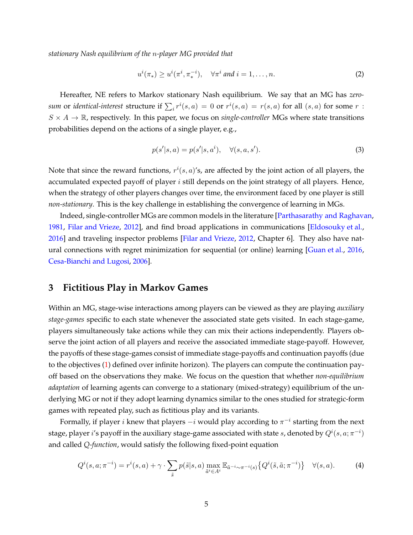*stationary Nash equilibrium of the* n*-player MG provided that*

$$
u^{i}(\pi_{*}) \geq u^{i}(\pi^{i}, \pi_{*}^{-i}), \quad \forall \pi^{i} \text{ and } i = 1, \dots, n. \tag{2}
$$

Hereafter, NE refers to Markov stationary Nash equilibrium. We say that an MG has *zerosum* or *identical-interest* structure if  $\sum_i r^i(s, a) = 0$  or  $r^i(s, a) = r(s, a)$  for all  $(s, a)$  for some  $r$ :  $S \times A \rightarrow \mathbb{R}$ , respectively. In this paper, we focus on *single-controller* MGs where state transitions probabilities depend on the actions of a single player, e.g.,

$$
p(s'|s, a) = p(s'|s, a^i), \quad \forall (s, a, s').
$$
\n(3)

Note that since the reward functions,  $r^{i}(s, a)$ 's, are affected by the joint action of all players, the accumulated expected payoff of player  $i$  still depends on the joint strategy of all players. Hence, when the strategy of other players changes over time, the environment faced by one player is still *non-stationary*. This is the key challenge in establishing the convergence of learning in MGs.

Indeed, single-controller MGs are common models in the literature [\[Parthasarathy and Raghavan](#page-23-14), [1981,](#page-23-14) [Filar and Vrieze](#page-22-10), [2012\]](#page-22-10), and find broad applications in communications [\[Eldosouky et al.](#page-22-11), [2016\]](#page-22-11) and traveling inspector problems [\[Filar and Vrieze,](#page-22-10) [2012,](#page-22-10) Chapter 6]. They also have natural connections with regret minimization for sequential (or online) learning [\[Guan et al.,](#page-22-13) [2016](#page-22-13), [Cesa-Bianchi and Lugosi,](#page-22-12) [2006](#page-22-12)].

### <span id="page-5-0"></span>**3 Fictitious Play in Markov Games**

Within an MG, stage-wise interactions among players can be viewed as they are playing *auxiliary stage-games* specific to each state whenever the associated state gets visited. In each stage-game, players simultaneously take actions while they can mix their actions independently. Players observe the joint action of all players and receive the associated immediate stage-payoff. However, the payoffs of these stage-games consist of immediate stage-payoffs and continuation payoffs (due to the objectives [\(1\)](#page-4-1) defined over infinite horizon). The players can compute the continuation payoff based on the observations they make. We focus on the question that whether *non-equilibrium adaptation* of learning agents can converge to a stationary (mixed-strategy) equilibrium of the underlying MG or not if they adopt learning dynamics similar to the ones studied for strategic-form games with repeated play, such as fictitious play and its variants.

Formally, if player  $i$  knew that players  $-i$  would play according to  $\pi^{-i}$  starting from the next stage, player  $i$ 's payoff in the auxiliary stage-game associated with state  $s$ , denoted by  $Q^i(s,a;\pi^{-i})$ and called *Q-function*, would satisfy the following fixed-point equation

<span id="page-5-1"></span>
$$
Q^{i}(s,a;\pi^{-i}) = r^{i}(s,a) + \gamma \cdot \sum_{\tilde{s}} p(\tilde{s}|s,a) \max_{\tilde{a}^{i} \in A^{i}} \mathbb{E}_{\tilde{a}^{-i} \sim \pi^{-i}(s)} \left\{ Q^{i}(\tilde{s},\tilde{a};\pi^{-i}) \right\} \quad \forall (s,a). \tag{4}
$$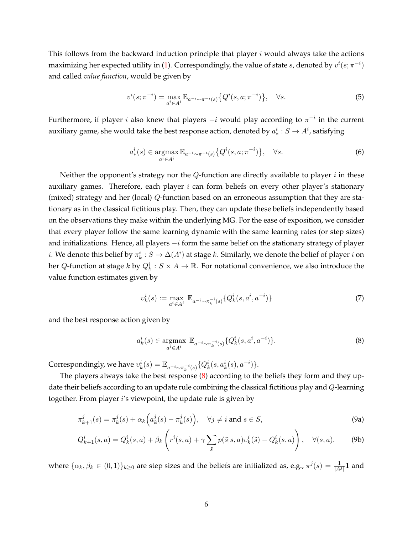This follows from the backward induction principle that player  $i$  would always take the actions maximizing her expected utility in [\(1\)](#page-4-1). Correspondingly, the value of state  $s$ , denoted by  $v^i(s;\pi^{-i})$ and called *value function*, would be given by

$$
v^{i}(s; \pi^{-i}) = \max_{a^{i} \in A^{i}} \mathbb{E}_{a^{-i} \sim \pi^{-i}(s)} \{Q^{i}(s, a; \pi^{-i})\}, \quad \forall s.
$$
 (5)

Furthermore, if player i also knew that players  $-i$  would play according to  $\pi^{-i}$  in the current auxiliary game, she would take the best response action, denoted by  $a^i_*:S\rightarrow A^i$ , satisfying

$$
a^i_*(s) \in \operatorname*{argmax}_{a^i \in A^i} \mathbb{E}_{a^{-i} \sim \pi^{-i}(s)} \left\{ Q^i(s, a; \pi^{-i}) \right\}, \quad \forall s.
$$
 (6)

Neither the opponent's strategy nor the  $Q$ -function are directly available to player  $i$  in these auxiliary games. Therefore, each player  $i$  can form beliefs on every other player's stationary (mixed) strategy and her (local) Q-function based on an erroneous assumption that they are stationary as in the classical fictitious play. Then, they can update these beliefs independently based on the observations they make within the underlying MG. For the ease of exposition, we consider that every player follow the same learning dynamic with the same learning rates (or step sizes) and initializations. Hence, all players  $-i$  form the same belief on the stationary strategy of player  $i.$  We denote this belief by  $\pi_k^i:S\to \Delta(A^i)$  at stage  $k.$  Similarly, we denote the belief of player  $i$  on her  $Q$ -function at stage  $k$  by  $Q_k^i: S \times A \rightarrow \mathbb{R}$ . For notational convenience, we also introduce the value function estimates given by

<span id="page-6-3"></span><span id="page-6-0"></span>
$$
v_k^i(s) := \max_{a^i \in A^i} \mathbb{E}_{a^{-i} \sim \pi_k^{-i}(s)} \{ Q_k^i(s, a^i, a^{-i}) \}
$$
(7)

and the best response action given by

<span id="page-6-4"></span><span id="page-6-2"></span><span id="page-6-1"></span>
$$
a_k^i(s) \in \underset{a^i \in A^i}{\text{argmax}} \ \mathbb{E}_{a^{-i} \sim \pi_k^{-i}(s)} \{Q_k^i(s, a^i, a^{-i})\}.
$$
 (8)

Correspondingly, we have  $v_k^i(s) = \mathbb{E}_{a^{-i} \sim \pi_k^{-i}(s)} \{Q_k^i(s, a_k^i(s), a^{-i})\}.$ 

The players always take the best response [\(8\)](#page-6-0) according to the beliefs they form and they update their beliefs according to an update rule combining the classical fictitious play and Q-learning together. From player i's viewpoint, the update rule is given by

$$
\pi_{k+1}^j(s) = \pi_k^j(s) + \alpha_k \Big( a_k^j(s) - \pi_k^j(s) \Big), \quad \forall j \neq i \text{ and } s \in S,
$$
\n(9a)

$$
Q_{k+1}^i(s,a) = Q_k^i(s,a) + \beta_k \left( r^i(s,a) + \gamma \sum_{\tilde{s}} p(\tilde{s}|s,a) v_k^i(\tilde{s}) - Q_k^i(s,a) \right), \quad \forall (s,a), \tag{9b}
$$

where  $\{\alpha_k, \beta_k \in (0,1)\}_{k\geq 0}$  are step sizes and the beliefs are initialized as, e.g.,  $\pi^j(s) = \frac{1}{|A^j|} 1$  and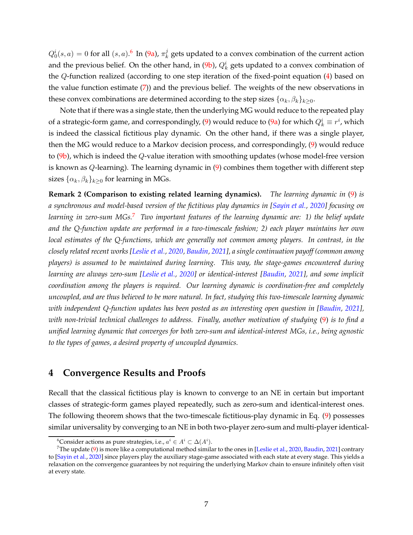$Q_0^i(s,a) = 0$  for all  $(s,a)$ .<sup>6</sup> In [\(9a\)](#page-6-1),  $\pi_k^j$  $\frac{d}{d k}$  gets updated to a convex combination of the current action and the previous belief. On the other hand, in [\(9b\)](#page-6-2),  $Q_k^i$  gets updated to a convex combination of the Q-function realized (according to one step iteration of the fixed-point equation [\(4\)](#page-5-1) based on the value function estimate [\(7\)](#page-6-3)) and the previous belief. The weights of the new observations in these convex combinations are determined according to the step sizes  $\{\alpha_k, \beta_k\}_{k>0}$ .

Note that if there was a single state, then the underlying MG would reduce to the repeated play of a strategic-form game, and correspondingly, [\(9\)](#page-6-4) would reduce to [\(9a\)](#page-6-1) for which  $Q^i_k \equiv r^i$ , which is indeed the classical fictitious play dynamic. On the other hand, if there was a single player, then the MG would reduce to a Markov decision process, and correspondingly, [\(9\)](#page-6-4) would reduce to  $(9b)$ , which is indeed the Q-value iteration with smoothing updates (whose model-free version is known as  $Q$ -learning). The learning dynamic in  $(9)$  combines them together with different step sizes  $\{\alpha_k, \beta_k\}_{k\geq 0}$  for learning in MGs.

**Remark 2 (Comparison to existing related learning dynamics).** *The learning dynamic in* [\(9\)](#page-6-4) *is a synchronous and model-based version of the fictitious play dynamics in [\[Sayin et al.,](#page-23-0) [2020](#page-23-0)] focusing on learning in zero-sum MGs.*<sup>7</sup> *Two important features of the learning dynamic are: 1) the belief update and the Q-function update are performed in a two-timescale fashion; 2) each player maintains her own local estimates of the Q-functions, which are generally not common among players. In contrast, in the closely related recent works [\[Leslie et al.,](#page-22-3) [2020](#page-22-3), [Baudin,](#page-21-2) [2021](#page-21-2)], a single continuation payoff (common among players) is assumed to be maintained during learning. This way, the stage-games encountered during learning are always zero-sum [\[Leslie et al.,](#page-22-3) [2020](#page-22-3)] or identical-interest [\[Baudin,](#page-21-2) [2021](#page-21-2)], and some implicit coordination among the players is required. Our learning dynamic is coordination-free and completely uncoupled, and are thus believed to be more natural. In fact, studying this two-timescale learning dynamic with independent Q-function updates has been posted as an interesting open question in [\[Baudin,](#page-21-2) [2021](#page-21-2)], with non-trivial technical challenges to address. Finally, another motivation of studying* [\(9\)](#page-6-4) *is to find a unified learning dynamic that converges for both zero-sum and identical-interest MGs, i.e., being agnostic to the types of games, a desired property of uncoupled dynamics.*

## <span id="page-7-0"></span>**4 Convergence Results and Proofs**

Recall that the classical fictitious play is known to converge to an NE in certain but important classes of strategic-form games played repeatedly, such as zero-sum and identical-interest ones. The following theorem shows that the two-timescale fictitious-play dynamic in Eq. [\(9\)](#page-6-4) possesses similar universality by converging to an NE in both two-player zero-sum and multi-player identical-

 $^6$ Consider actions as pure strategies, i.e.,  $a^i \in A^i \subset \Delta(A^i)$ .

<sup>&</sup>lt;sup>7</sup>The update [\(9\)](#page-6-4) is more like a computational method similar to the ones in [\[Leslie et al.](#page-22-3), [2020](#page-22-3), [Baudin](#page-21-2), [2021](#page-21-2)] contrary to [\[Sayin et al.,](#page-23-0) [2020](#page-23-0)] since players play the auxiliary stage-game associated with each state at every stage. This yields a relaxation on the convergence guarantees by not requiring the underlying Markov chain to ensure infinitely often visit at every state.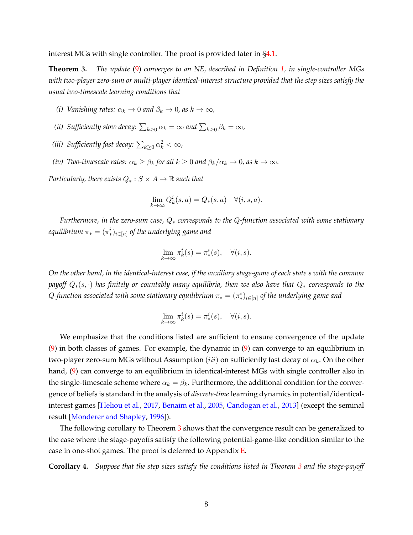<span id="page-8-0"></span>interest MGs with single controller. The proof is provided later in [§4.1.](#page-9-0)

**Theorem 3.** *The update* [\(9\)](#page-6-4) *converges to an NE, described in Definition [1,](#page-4-2) in single-controller MGs with two-player zero-sum or multi-player identical-interest structure provided that the step sizes satisfy the usual two-timescale learning conditions that*

- *(i)* Vanishing rates:  $\alpha_k \to 0$  and  $\beta_k \to 0$ , as  $k \to \infty$ ,
- *(ii) Sufficiently slow decay:*  $\sum_{k\geq 0} \alpha_k = \infty$  *and*  $\sum_{k\geq 0} \beta_k = \infty$ *,*
- (*iii*) Sufficiently fast decay:  $\sum_{k\geq 0} \alpha_k^2 < \infty$ ,
- *(iv)* Two-timescale rates:  $\alpha_k \geq \beta_k$  for all  $k \geq 0$  and  $\beta_k/\alpha_k \to 0$ , as  $k \to \infty$ .

*Particularly, there exists*  $Q_* : S \times A \rightarrow \mathbb{R}$  *such that* 

$$
\lim_{k \to \infty} Q_k^i(s, a) = Q_*(s, a) \quad \forall (i, s, a).
$$

*Furthermore, in the zero-sum case,* Q<sup>∗</sup> *corresponds to the* Q*-function associated with some stationary* equilibrium  $\pi_* = (\pi_*^i)_{i \in [n]}$  of the underlying game and

$$
\lim_{k \to \infty} \pi_k^i(s) = \pi_*^i(s), \quad \forall (i, s).
$$

*On the other hand, in the identical-interest case, if the auxiliary stage-game of each state* s *with the common payoff*  $Q_*(s, \cdot)$  *has finitely or countably many equilibria, then we also have that*  $Q_*$  *corresponds to the*  $Q$ -function associated with some stationary equilibrium  $\pi_* = (\pi_*^i)_{i \in [n]}$  of the underlying game and

$$
\lim_{k \to \infty} \pi_k^i(s) = \pi_*^i(s), \quad \forall (i, s).
$$

We emphasize that the conditions listed are sufficient to ensure convergence of the update [\(9\)](#page-6-4) in both classes of games. For example, the dynamic in [\(9\)](#page-6-4) can converge to an equilibrium in two-player zero-sum MGs without Assumption (iii) on sufficiently fast decay of  $\alpha_k$ . On the other hand, [\(9\)](#page-6-4) can converge to an equilibrium in identical-interest MGs with single controller also in the single-timescale scheme where  $\alpha_k = \beta_k$ . Furthermore, the additional condition for the convergence of beliefs is standard in the analysis of *discrete-time* learning dynamics in potential/identicalinterest games [\[Heliou et al.](#page-22-15), [2017](#page-22-15), [Benaim et al.](#page-21-9), [2005](#page-21-9), [Candogan et al.](#page-21-10), [2013](#page-21-10)] (except the seminal result [\[Monderer and Shapley](#page-23-7), [1996](#page-23-7)]).

The following corollary to Theorem [3](#page-8-0) shows that the convergence result can be generalized to the case where the stage-payoffs satisfy the following potential-game-like condition similar to the case in one-shot games. The proof is deferred to Appendix [E.](#page-21-11)

<span id="page-8-1"></span>**Corollary 4.** *Suppose that the step sizes satisfy the conditions listed in Theorem [3](#page-8-0) and the stage-payoff*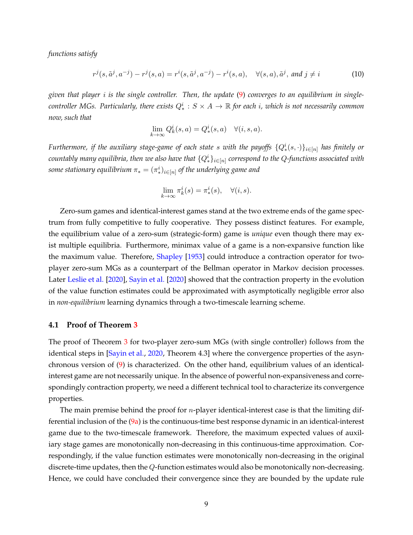*functions satisfy*

$$
r^{j}(s,\tilde{a}^{j},a^{-j}) - r^{j}(s,a) = r^{i}(s,\tilde{a}^{j},a^{-j}) - r^{i}(s,a), \quad \forall (s,a),\tilde{a}^{j}, \text{ and } j \neq i
$$
 (10)

*given that player* i *is the single controller. Then, the update* [\(9\)](#page-6-4) *converges to an equilibrium in single-* $\it{controller MSs.}$  Particularly, there exists  $Q_*^i : S \times A \to \mathbb{R}$  for each  $i$ , which is not necessarily common *now, such that*

$$
\lim_{k \to \infty} Q_k^i(s, a) = Q_*^i(s, a) \quad \forall (i, s, a).
$$

*Furthermore, if the auxiliary stage-game of each state*  $s$  *with the payoffs*  $\{Q_*^i(s, \cdot)\}_{i \in [n]}$  *has finitely or*  $c$ ountably many equilibria, then we also have that  $\{Q^i_*\}_{i\in [n]}$  correspond to the  $Q$ -functions associated with some stationary equilibrium  $\pi_* = (\pi_*^i)_{i \in [n]}$  of the underlying game and

$$
\lim_{k \to \infty} \pi_k^i(s) = \pi_*^i(s), \quad \forall (i, s).
$$

Zero-sum games and identical-interest games stand at the two extreme ends of the game spectrum from fully competitive to fully cooperative. They possess distinct features. For example, the equilibrium value of a zero-sum (strategic-form) game is *unique* even though there may exist multiple equilibria. Furthermore, minimax value of a game is a non-expansive function like the maximum value. Therefore, [Shapley](#page-23-1) [\[1953](#page-23-1)] could introduce a contraction operator for twoplayer zero-sum MGs as a counterpart of the Bellman operator in Markov decision processes. Later [Leslie et al.](#page-22-3) [\[2020](#page-22-3)], [Sayin et al.](#page-23-0) [\[2020](#page-23-0)] showed that the contraction property in the evolution of the value function estimates could be approximated with asymptotically negligible error also in *non-equilibrium* learning dynamics through a two-timescale learning scheme.

### <span id="page-9-0"></span>**4.1 Proof of Theorem [3](#page-8-0)**

The proof of Theorem [3](#page-8-0) for two-player zero-sum MGs (with single controller) follows from the identical steps in [\[Sayin et al.](#page-23-0), [2020](#page-23-0), Theorem 4.3] where the convergence properties of the asynchronous version of [\(9\)](#page-6-4) is characterized. On the other hand, equilibrium values of an identicalinterest game are not necessarily unique. In the absence of powerful non-expansiveness and correspondingly contraction property, we need a different technical tool to characterize its convergence properties.

The main premise behind the proof for  $n$ -player identical-interest case is that the limiting differential inclusion of the  $(9a)$  is the continuous-time best response dynamic in an identical-interest game due to the two-timescale framework. Therefore, the maximum expected values of auxiliary stage games are monotonically non-decreasing in this continuous-time approximation. Correspondingly, if the value function estimates were monotonically non-decreasing in the original discrete-time updates, then the Q-function estimates would also be monotonically non-decreasing. Hence, we could have concluded their convergence since they are bounded by the update rule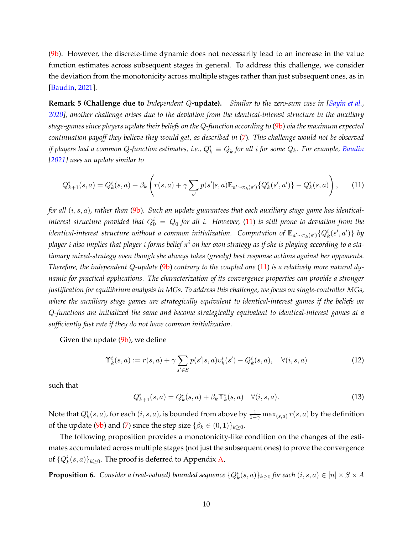[\(9b\)](#page-6-2). However, the discrete-time dynamic does not necessarily lead to an increase in the value function estimates across subsequent stages in general. To address this challenge, we consider the deviation from the monotonicity across multiple stages rather than just subsequent ones, as in [\[Baudin,](#page-21-2) [2021\]](#page-21-2).

<span id="page-10-2"></span>**Remark 5 (Challenge due to** *Independent* Q**-update).** *Similar to the zero-sum case in [\[Sayin et al.](#page-23-0), [2020\]](#page-23-0), another challenge arises due to the deviation from the identical-interest structure in the auxiliary stage-games since players update their beliefs on the* Q*-function according to* [\(9b\)](#page-6-2) *via the maximum expected continuation payoff they believe they would get, as described in* [\(7\)](#page-6-3)*. This challenge would not be observed* if players had a common Q-function estimates, i.e.,  $Q_k^i \equiv Q_k$  for all  $i$  for some  $Q_k$ . For example, [Baudin](#page-21-2) *[\[2021](#page-21-2)] uses an update similar to*

<span id="page-10-0"></span>
$$
Q_{k+1}^{i}(s,a) = Q_{k}^{i}(s,a) + \beta_{k} \left( r(s,a) + \gamma \sum_{s'} p(s'|s,a) \mathbb{E}_{a' \sim \pi_{k}(s')} \{ Q_{k}^{i}(s',a') \} - Q_{k}^{i}(s,a) \right), \tag{11}
$$

*for all* (i, s, a)*, rather than* [\(9b\)](#page-6-2)*. Such an update guarantees that each auxiliary stage game has identical* $i$ nterest structure provided that  $Q_0^i \,=\, Q_0$  for all  $i.$  However, [\(11\)](#page-10-0) is still prone to deviation from the  $i$ dentical-interest structure without a common initialization. Computation of  $\mathbb{E}_{a'\sim\pi_k(s')} \{Q_k^i(s',a')\}$  by player i also implies that player i forms belief π<sup>i</sup> on her own strategy as if she is playing according to a sta*tionary mixed-strategy even though she always takes (greedy) best response actions against her opponents. Therefore, the independent* Q*-update* [\(9b\)](#page-6-2) *contrary to the coupled one* [\(11\)](#page-10-0) *is a relatively more natural dynamic for practical applications. The characterization of its convergence properties can provide a stronger justification for equilibrium analysis in MGs. To address this challenge, we focus on single-controller MGs, where the auxiliary stage games are strategically equivalent to identical-interest games if the beliefs on* Q*-functions are initialized the same and become strategically equivalent to identical-interest games at a sufficiently fast rate if they do not have common initialization.*

Given the update  $(9b)$ , we define

$$
\Upsilon_k^i(s, a) := r(s, a) + \gamma \sum_{s' \in S} p(s'|s, a)v_k^i(s') - Q_k^i(s, a), \quad \forall (i, s, a)
$$
\n(12)

such that

$$
Q_{k+1}^{i}(s, a) = Q_{k}^{i}(s, a) + \beta_{k} \Upsilon_{k}^{i}(s, a) \quad \forall (i, s, a).
$$
 (13)

Note that  $Q_k^i(s,a)$ , for each  $(i,s,a)$ , is bounded from above by  $\frac{1}{1-\gamma}\max_{(s,a)} r(s,a)$  by the definition of the update [\(9b\)](#page-6-2) and [\(7\)](#page-6-3) since the step size  $\{\beta_k \in (0,1)\}_{k \geq 0}$ .

The following proposition provides a monotonicity-like condition on the changes of the estimates accumulated across multiple stages (not just the subsequent ones) to prove the convergence of  $\{Q_k^i(s,a)\}_{k\geq 0}$ . The proof is deferred to Appendix [A.](#page-14-0)

<span id="page-10-1"></span>**Proposition 6.** Consider a (real-valued) bounded sequence  $\{Q_k^i(s,a)\}_{k\geq 0}$  for each  $(i,s,a)\in [n]\times S\times A$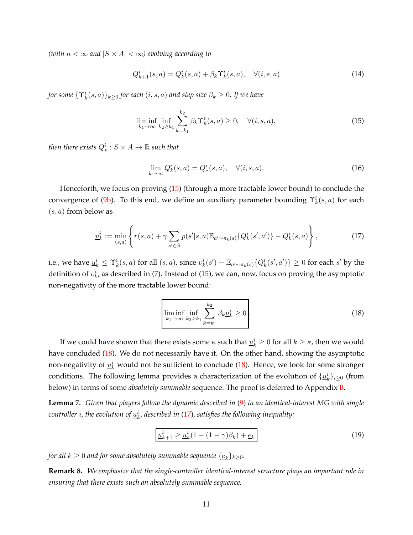*(with*  $n < \infty$  *and*  $|S \times A| < \infty$ *) evolving according to* 

$$
Q_{k+1}^i(s,a) = Q_k^i(s,a) + \beta_k \Upsilon_k^i(s,a), \quad \forall (i,s,a)
$$
\n(14)

*for some*  $\{\Upsilon_k^i(s,a)\}_{k\geq 0}$  *for each*  $(i,s,a)$  *and step size*  $\beta_k\geq 0$ *. If we have* 

<span id="page-11-0"></span>
$$
\liminf_{k_1 \to \infty} \inf_{k_2 \ge k_1} \sum_{k=k_1}^{k_2} \beta_k \Upsilon_k^i(s, a) \ge 0, \quad \forall (i, s, a), \tag{15}
$$

then there exists  $Q_*^i: S \times A \rightarrow \mathbb{R}$  such that

$$
\lim_{k \to \infty} Q_k^i(s, a) = Q_*^i(s, a), \quad \forall (i, s, a).
$$
\n(16)

Henceforth, we focus on proving [\(15\)](#page-11-0) (through a more tractable lower bound) to conclude the convergence of [\(9b\)](#page-6-2). To this end, we define an auxiliary parameter bounding  $\Upsilon_k^i(s, a)$  for each  $(s, a)$  from below as

<span id="page-11-2"></span>
$$
\underline{u}_k^i := \min_{(s,a)} \left\{ r(s,a) + \gamma \sum_{s' \in S} p(s'|s,a) \mathbb{E}_{a' \sim \pi_k(s)} \{ Q_k^i(s',a') \} - Q_k^i(s,a) \right\},\tag{17}
$$

i.e., we have  $\underline{u}_k^i \leq \Upsilon_k^i(s,a)$  for all  $(s,a)$ , since  $v_k^i(s') - \mathbb{E}_{a'\sim \pi_k(s)}\{Q_k^i(s',a')\} \geq 0$  for each  $s'$  by the definition of  $v_k^i$ , as described in [\(7\)](#page-6-3). Instead of [\(15\)](#page-11-0), we can, now, focus on proving the asymptotic non-negativity of the more tractable lower bound:

<span id="page-11-1"></span>
$$
\liminf_{k_1 \to \infty} \inf_{k_2 \ge k_1} \sum_{k=k_1}^{k_2} \beta_k \underline{u}_k^i \ge 0.
$$
\n(18)

If we could have shown that there exists some  $\kappa$  such that  $\underline{u}_k^i\geq 0$  for all  $k\geq \kappa$ , then we would have concluded [\(18\)](#page-11-1). We do not necessarily have it. On the other hand, showing the asymptotic non-negativity of  $\underline{u}_k^i$  would not be sufficient to conclude [\(18\)](#page-11-1). Hence, we look for some stronger conditions. The following lemma provides a characterization of the evolution of  $\{\underline{u}_k^i\}_{i\geq 0}$  (from below) in terms of some *absolutely summable* sequence. The proof is deferred to Appendix [B.](#page-15-0)

<span id="page-11-4"></span>**Lemma 7.** *Given that players follow the dynamic described in* [\(9\)](#page-6-4) *in an identical-interest MG with single*  $\emph{controller}$   $i$ , the evolution of  $\underline{u}_k^i$ , described in [\(17\)](#page-11-2), satisfies the following inequality:

<span id="page-11-3"></span>
$$
\boxed{u_{k+1}^i \ge u_k^i (1 - (1 - \gamma)\beta_k) + \underline{e}_k} \tag{19}
$$

*for all*  $k \geq 0$  *and for some absolutely summable sequence*  $\{\underline{e}_k\}_{k \geq 0}$ *.* 

**Remark 8.** *We emphasize that the single-controller identical-interest structure plays an important role in ensuring that there exists such an absolutely summable sequence.*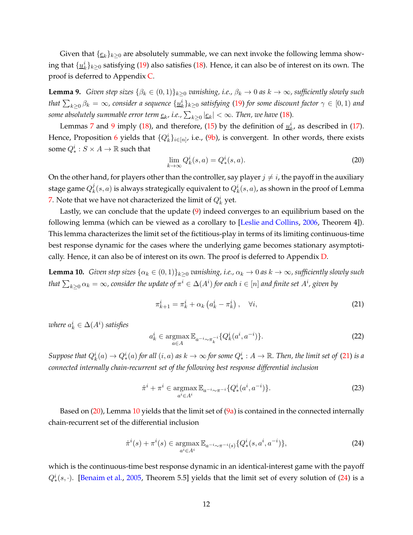Given that  $\{\underline{e}_k\}_{k\geq 0}$  are absolutely summable, we can next invoke the following lemma showing that  $\{\underline{u}_k^i\}_{k\geq 0}$  satisfying [\(19\)](#page-11-3) also satisfies [\(18\)](#page-11-1). Hence, it can also be of interest on its own. The proof is deferred to Appendix [C.](#page-17-0)

<span id="page-12-0"></span>**Lemma 9.** *Given step sizes*  $\{\beta_k \in (0,1)\}_{k\geq 0}$  *vanishing, i.e.,*  $\beta_k \to 0$  *as*  $k \to \infty$ *, sufficiently slowly such* that  $\sum_{k\geq 0} \beta_k = \infty$ , consider a sequence  $\{\underline{u}_k^i\}_{k\geq 0}$  satisfying [\(19\)](#page-11-3) for some discount factor  $\gamma\in[0,1)$  and some absolutely summable error term  $\underline{e}_k$ , i.e.,  $\sum_{k\geq 0}|\underline{e}_k|<\infty.$  Then, we have [\(18\)](#page-11-1).

Lemmas [7](#page-11-4) and [9](#page-12-0) imply [\(18\)](#page-11-1), and therefore, [\(15\)](#page-11-0) by the definition of  $\underline{u}_k^i$ , as described in [\(17\)](#page-11-2). Hence, Proposition [6](#page-10-1) yields that  $\{Q_k^i\}_{i\in[n]}$ , i.e., [\(9b\)](#page-6-2), is convergent. In other words, there exists some  $Q_*^i: S \times A \rightarrow \mathbb{R}$  such that

<span id="page-12-2"></span>
$$
\lim_{k \to \infty} Q_k^i(s, a) = Q_*^i(s, a). \tag{20}
$$

On the other hand, for players other than the controller, say player  $j \neq i$ , the payoff in the auxiliary stage game  $Q_k^j$  $k^j(s,a)$  is always strategically equivalent to  $Q_k^i(s,a)$ , as shown in the proof of Lemma [7.](#page-11-4) Note that we have not characterized the limit of  $Q_k^i$  yet.

Lastly, we can conclude that the update [\(9\)](#page-6-4) indeed converges to an equilibrium based on the following lemma (which can be viewed as a corollary to [\[Leslie and Collins,](#page-22-16) [2006](#page-22-16), Theorem 4]). This lemma characterizes the limit set of the fictitious-play in terms of its limiting continuous-time best response dynamic for the cases where the underlying game becomes stationary asymptotically. Hence, it can also be of interest on its own. The proof is deferred to Appendix [D.](#page-20-0)

<span id="page-12-3"></span>**Lemma 10.** *Given step sizes*  $\{\alpha_k \in (0,1)\}_{k\geq 0}$  *vanishing, i.e.,*  $\alpha_k \to 0$  *as*  $k \to \infty$ *, sufficiently slowly such* that  $\sum_{k\geq 0} \alpha_k = \infty$ , consider the update of  $\pi^i\in\Delta(A^i)$  for each  $i\in [n]$  and finite set  $A^i$ , given by

<span id="page-12-1"></span>
$$
\pi_{k+1}^i = \pi_k^i + \alpha_k \left( a_k^i - \pi_k^i \right), \quad \forall i,
$$
\n<sup>(21)</sup>

where  $a_k^i \in \Delta(A^i)$  satisfies

$$
a_k^i \in \underset{a \in A}{\operatorname{argmax}} \mathbb{E}_{a^{-i} \sim \pi_k^{-i}} \{ Q_k^i(a^i, a^{-i}) \}. \tag{22}
$$

Suppose that  $Q_k^i(a) \to Q_*^i(a)$  for all  $(i, a)$  as  $k \to \infty$  for some  $Q_*^i : A \to \mathbb{R}$ . Then, the limit set of [\(21\)](#page-12-1) is a *connected internally chain-recurrent set of the following best response differential inclusion*

<span id="page-12-4"></span>
$$
\dot{\pi}^i + \pi^i \in \operatorname*{argmax}_{a^i \in A^i} \mathbb{E}_{a^{-i} \sim \pi^{-i}} \{Q_*^i(a^i, a^{-i})\}.
$$
\n(23)

Based on  $(20)$ , Lemma [10](#page-12-3) yields that the limit set of  $(9a)$  is contained in the connected internally chain-recurrent set of the differential inclusion

$$
\dot{\pi}^i(s) + \pi^i(s) \in \underset{a^i \in A^i}{\text{argmax}} \, \mathbb{E}_{a^{-i} \sim \pi^{-i}(s)} \{Q^i_*(s, a^i, a^{-i})\},\tag{24}
$$

which is the continuous-time best response dynamic in an identical-interest game with the payoff  $Q_{*}^{i}(s, \cdot)$ . [\[Benaim et al.](#page-21-9), [2005](#page-21-9), Theorem 5.5] yields that the limit set of every solution of [\(24\)](#page-12-4) is a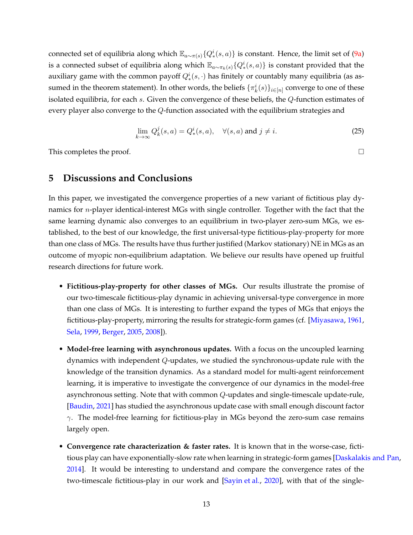connected set of equilibria along which  $\mathbb{E}_{a\sim\pi(s)}\{Q_*^i(s,a)\}$  is constant. Hence, the limit set of [\(9a\)](#page-6-1) is a connected subset of equilibria along which  $\mathbb{E}_{a \sim \pi_k(s)}\{Q_*^i(s, a)\}$  is constant provided that the auxiliary game with the common payoff  $Q^i_*(s, \cdot)$  has finitely or countably many equilibria (as assumed in the theorem statement). In other words, the beliefs  $\{\pi_k^i(s)\}_{i\in[n]}$  converge to one of these isolated equilibria, for each s. Given the convergence of these beliefs, the Q-function estimates of every player also converge to the Q-function associated with the equilibrium strategies and

$$
\lim_{k \to \infty} Q_k^j(s, a) = Q_*^i(s, a), \quad \forall (s, a) \text{ and } j \neq i.
$$
\n
$$
(25)
$$

<span id="page-13-0"></span>This completes the proof.

## **5 Discussions and Conclusions**

In this paper, we investigated the convergence properties of a new variant of fictitious play dynamics for *n*-player identical-interest MGs with single controller. Together with the fact that the same learning dynamic also converges to an equilibrium in two-player zero-sum MGs, we established, to the best of our knowledge, the first universal-type fictitious-play-property for more than one class of MGs. The results have thus further justified (Markov stationary) NE in MGs as an outcome of myopic non-equilibrium adaptation. We believe our results have opened up fruitful research directions for future work.

- **Fictitious-play-property for other classes of MGs.** Our results illustrate the promise of our two-timescale fictitious-play dynamic in achieving universal-type convergence in more than one class of MGs. It is interesting to further expand the types of MGs that enjoys the fictitious-play-property, mirroring the results for strategic-form games (cf. [\[Miyasawa](#page-23-8), [1961](#page-23-8), [Sela,](#page-23-9) [1999](#page-23-9), [Berger](#page-21-4), [2005](#page-21-4), [2008](#page-21-5)]).
- **Model-free learning with asynchronous updates.** With a focus on the uncoupled learning dynamics with independent Q-updates, we studied the synchronous-update rule with the knowledge of the transition dynamics. As a standard model for multi-agent reinforcement learning, it is imperative to investigate the convergence of our dynamics in the model-free asynchronous setting. Note that with common Q-updates and single-timescale update-rule, [\[Baudin,](#page-21-2) [2021\]](#page-21-2) has studied the asynchronous update case with small enough discount factor  $\gamma$ . The model-free learning for fictitious-play in MGs beyond the zero-sum case remains largely open.
- **Convergence rate characterization & faster rates.** It is known that in the worse-case, fictitious play can have exponentially-slow rate when learning in strategic-form games [\[Daskalakis and Pan](#page-22-17), [2014](#page-22-17)]. It would be interesting to understand and compare the convergence rates of the two-timescale fictitious-play in our work and [\[Sayin et al.](#page-23-0), [2020](#page-23-0)], with that of the single-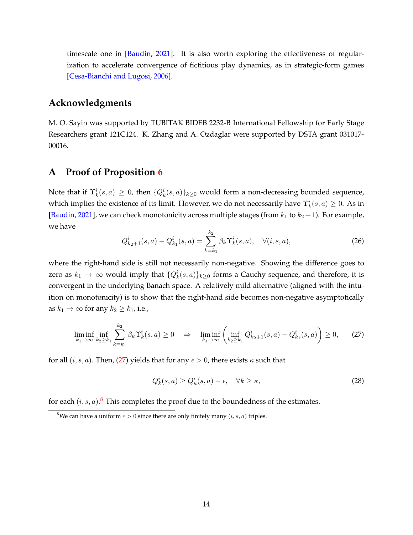timescale one in [\[Baudin,](#page-21-2) [2021\]](#page-21-2). It is also worth exploring the effectiveness of regularization to accelerate convergence of fictitious play dynamics, as in strategic-form games [\[Cesa-Bianchi and Lugosi,](#page-22-12) [2006\]](#page-22-12).

### **Acknowledgments**

M. O. Sayin was supported by TUBITAK BIDEB 2232-B International Fellowship for Early Stage Researchers grant 121C124. K. Zhang and A. Ozdaglar were supported by DSTA grant 031017- 00016.

## <span id="page-14-0"></span>**A Proof of Proposition [6](#page-10-1)**

Note that if  $\Upsilon_k^i(s,a) \geq 0$ , then  $\{Q_k^i(s,a)\}_{k \geq 0}$  would form a non-decreasing bounded sequence, which implies the existence of its limit. However, we do not necessarily have  $\Upsilon_k^i(s,a) \geq 0$ . As in [\[Baudin,](#page-21-2) [2021](#page-21-2)], we can check monotonicity across multiple stages (from  $k_1$  to  $k_2 + 1$ ). For example, we have

$$
Q_{k_2+1}^i(s, a) - Q_{k_1}^i(s, a) = \sum_{k=k_1}^{k_2} \beta_k \Upsilon_k^i(s, a), \quad \forall (i, s, a),
$$
 (26)

where the right-hand side is still not necessarily non-negative. Showing the difference goes to zero as  $k_1 \to \infty$  would imply that  $\{Q_k^i(s,a)\}_{k\geq 0}$  forms a Cauchy sequence, and therefore, it is convergent in the underlying Banach space. A relatively mild alternative (aligned with the intuition on monotonicity) is to show that the right-hand side becomes non-negative asymptotically as  $k_1 \rightarrow \infty$  for any  $k_2 \geq k_1$ , i.e.,

$$
\liminf_{k_1 \to \infty} \inf_{k_2 \ge k_1} \sum_{k=k_1}^{k_2} \beta_k \Upsilon_k^i(s, a) \ge 0 \quad \Rightarrow \quad \liminf_{k_1 \to \infty} \left( \inf_{k_2 \ge k_1} Q_{k_2+1}^i(s, a) - Q_{k_1}^i(s, a) \right) \ge 0, \tag{27}
$$

for all  $(i, s, a)$ . Then, [\(27\)](#page-14-1) yields that for any  $\epsilon > 0$ , there exists  $\kappa$  such that

<span id="page-14-1"></span>
$$
Q_k^i(s, a) \ge Q_\kappa^i(s, a) - \epsilon, \quad \forall k \ge \kappa,
$$
\n<sup>(28)</sup>

for each  $(i, s, a)$ .<sup>8</sup> This completes the proof due to the boundedness of the estimates.

<sup>&</sup>lt;sup>8</sup>We can have a uniform  $\epsilon > 0$  since there are only finitely many  $(i, s, a)$  triples.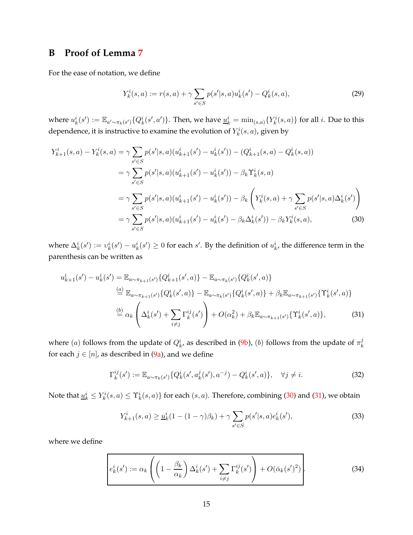## <span id="page-15-0"></span>**B Proof of Lemma [7](#page-11-4)**

For the ease of notation, we define

<span id="page-15-1"></span>
$$
Y_k^i(s, a) := r(s, a) + \gamma \sum_{s' \in S} p(s'|s, a) u_k^i(s') - Q_k^i(s, a), \tag{29}
$$

where  $u_k^i(s') := \mathbb{E}_{a'\sim \pi_k(s')} \{Q_k^i(s',a')\}.$  Then, we have  $\underline{u}_k^i = \min_{(s,a)} \{Y_k^i(s,a)\}$  for all  $i.$  Due to this dependence, it is instructive to examine the evolution of  $Y_k^i(s,a)$ , given by

$$
Y_{k+1}^{i}(s,a) - Y_{k}^{i}(s,a) = \gamma \sum_{s' \in S} p(s'|s,a)(u_{k+1}^{i}(s') - u_{k}^{i}(s')) - (Q_{k+1}^{i}(s,a) - Q_{k}^{i}(s,a))
$$
  

$$
= \gamma \sum_{s' \in S} p(s'|s,a)(u_{k+1}^{i}(s') - u_{k}^{i}(s')) - \beta_{k} \Upsilon_{k}^{i}(s,a)
$$
  

$$
= \gamma \sum_{s' \in S} p(s'|s,a)(u_{k+1}^{i}(s') - u_{k}^{i}(s')) - \beta_{k} \left(Y_{k}^{i}(s,a) + \gamma \sum_{s' \in S} p(s'|s,a) \Delta_{k}^{i}(s')\right)
$$
  

$$
= \gamma \sum_{s' \in S} p(s'|s,a)(u_{k+1}^{i}(s') - u_{k}^{i}(s') - \beta_{k} \Delta_{k}^{i}(s')) - \beta_{k} Y_{k}^{i}(s,a), \qquad (30)
$$

where  $\Delta_k^i(s') := v_k^i(s') - u_k^i(s') \ge 0$  for each s'. By the definition of  $u_k^i$ , the difference term in the parenthesis can be written as

$$
u_{k+1}^{i}(s') - u_{k}^{i}(s') = \mathbb{E}_{a \sim \pi_{k+1}(s')} \{Q_{k+1}^{i}(s', a)\} - \mathbb{E}_{a \sim \pi_{k}(s')} \{Q_{k}^{i}(s', a)\}
$$
  
\n
$$
\stackrel{(a)}{=} \mathbb{E}_{a \sim \pi_{k+1}(s')} \{Q_{k}^{i}(s', a)\} - \mathbb{E}_{a \sim \pi_{k}(s')} \{Q_{k}^{i}(s', a)\} + \beta_{k} \mathbb{E}_{a \sim \pi_{k+1}(s')} \{\Upsilon_{k}^{i}(s', a)\}
$$
  
\n
$$
\stackrel{(b)}{=} \alpha_{k} \left(\Delta_{k}^{i}(s') + \sum_{i \neq j} \Gamma_{k}^{ij}(s')\right) + O(\alpha_{k}^{2}) + \beta_{k} \mathbb{E}_{a \sim \pi_{k+1}(s')} \{\Upsilon_{k}^{i}(s', a)\},
$$
\n(31)

where  $(a)$  follows from the update of  $Q_k^i$ , as described in [\(9b\)](#page-6-2),  $(b)$  follows from the update of  $\pi_k^j$ k for each  $j \in [n]$ , as described in [\(9a\)](#page-6-1), and we define

<span id="page-15-4"></span><span id="page-15-2"></span>
$$
\Gamma_k^{ij}(s') := \mathbb{E}_{a \sim \pi_k(s')} \{ Q_k^i(s', a_k^j(s'), a^{-j}) - Q_k^i(s', a) \}, \quad \forall j \neq i.
$$
 (32)

Note that  $\underline{u}_k^i\leq Y_k^i(s,a)\leq \Upsilon_k^i(s,a)\}$  for each  $(s,a).$  Therefore, combining [\(30\)](#page-15-1) and [\(31\)](#page-15-2), we obtain

<span id="page-15-3"></span>
$$
Y_{k+1}^{i}(s,a) \ge \underline{u}_{k}^{i}(1 - (1 - \gamma)\beta_{k}) + \gamma \sum_{s' \in S} p(s'|s,a)e_{k}^{i}(s'), \qquad (33)
$$

where we define

$$
e_k^i(s') := \alpha_k \left( \left( 1 - \frac{\beta_k}{\alpha_k} \right) \Delta_k^i(s') + \sum_{i \neq j} \Gamma_k^{ij}(s') \right) + O(\bar{\alpha}_k(s')^2).
$$
 (34)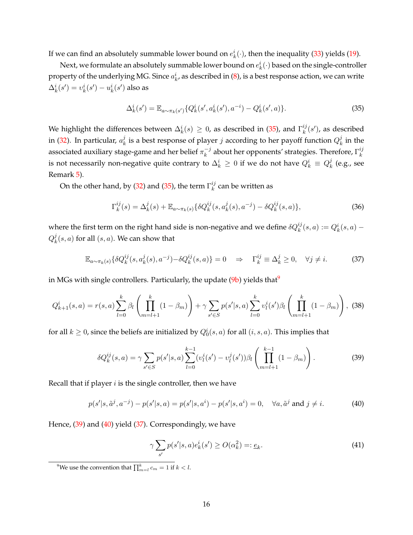If we can find an absolutely summable lower bound on  $e_k^i(\cdot)$ , then the inequality [\(33\)](#page-15-3) yields [\(19\)](#page-11-3).

Next, we formulate an absolutely summable lower bound on  $e_k^i(\cdot)$  based on the single-controller property of the underlying MG. Since  $a_k^i$ , as described in [\(8\)](#page-6-0), is a best response action, we can write  $\Delta^i_k(s') = v^i_k(s') - u^i_k(s')$  also as

<span id="page-16-0"></span>
$$
\Delta_k^i(s') = \mathbb{E}_{a \sim \pi_k(s')} \{ Q_k^i(s', a_k^i(s'), a^{-i}) - Q_k^i(s', a) \}.
$$
\n(35)

We highlight the differences between  $\Delta_k^i(s) \geq 0$ , as described in [\(35\)](#page-16-0), and  $\Gamma_k^{ij}$  $\binom{ij}{k}(s')$ , as described in [\(32\)](#page-15-4). In particular,  $a_k^j$  $\frac{d}{dt}$  is a best response of player  $j$  according to her payoff function  $Q_k^j$  $\frac{J}{k}$  in the associated auxiliary stage-game and her belief  $\pi_k^{-j}$  $\frac{-j}{k}$  about her opponents' strategies. Therefore,  $\Gamma_k^{ij}$ k is not necessarily non-negative quite contrary to  $\Delta_k^i\,\geq\,0$  if we do not have  $Q_k^i\,\equiv\,Q_k^j$  $\frac{J}{k}$  (e.g., see Remark [5\)](#page-10-2).

On the other hand, by [\(32\)](#page-15-4) and [\(35\)](#page-16-0), the term  $\Gamma_k^{ij}$  $k \atop k$  can be written as

<span id="page-16-3"></span>
$$
\Gamma_k^{ij}(s) = \Delta_k^j(s) + \mathbb{E}_{a \sim \pi_k(s)} \{ \delta Q_k^{ij}(s, a_k^j(s), a^{-j}) - \delta Q_k^{ij}(s, a) \},\tag{36}
$$

where the first term on the right hand side is non-negative and we define  $\delta Q^{ij}_k(s,a) := Q^i_k(s,a)$  –  $Q_k^j$  $\mathcal{L}_k^{\jmath}(s,a)$  for all  $(s,a)$ . We can show that

$$
\mathbb{E}_{a \sim \pi_k(s)} \{ \delta Q_k^{ij}(s, a_k^j(s), a^{-j}) - \delta Q_k^{ij}(s, a) \} = 0 \quad \Rightarrow \quad \Gamma_k^{ij} \equiv \Delta_k^j \ge 0, \quad \forall j \ne i. \tag{37}
$$

in MGs with single controllers. Particularly, the update  $(9b)$  yields that<sup>9</sup>

$$
Q_{k+1}^{i}(s,a) = r(s,a) \sum_{l=0}^{k} \beta_{l} \left( \prod_{m=l+1}^{k} (1 - \beta_{m}) \right) + \gamma \sum_{s' \in S} p(s'|s,a) \sum_{l=0}^{k} v_{l}^{i}(s') \beta_{l} \left( \prod_{m=l+1}^{k} (1 - \beta_{m}) \right),
$$
 (38)

for all  $k \geq 0$ , since the beliefs are initialized by  $Q_0^i(s,a)$  for all  $(i,s,a)$ . This implies that

$$
\delta Q_k^{ij}(s, a) = \gamma \sum_{s' \in S} p(s'|s, a) \sum_{l=0}^{k-1} (\upsilon_l^i(s') - \upsilon_l^j(s')) \beta_l \left( \prod_{m=l+1}^{k-1} (1 - \beta_m) \right). \tag{39}
$$

Recall that if player  $i$  is the single controller, then we have

$$
p(s'|s, \tilde{a}^j, a^{-j}) - p(s'|s, a) = p(s'|s, a^i) - p(s'|s, a^i) = 0, \quad \forall a, \tilde{a}^j \text{ and } j \neq i.
$$
 (40)

Hence, [\(39\)](#page-16-1) and [\(40\)](#page-16-2) yield [\(37\)](#page-16-3). Correspondingly, we have

<span id="page-16-5"></span><span id="page-16-4"></span><span id="page-16-2"></span><span id="page-16-1"></span>
$$
\gamma \sum_{s'} p(s'|s, a)e_k^i(s') \ge O(\alpha_k^2) = \underline{e}_k. \tag{41}
$$

<sup>9</sup>We use the convention that  $\prod_{m=l}^k c_m = 1$  if  $k < l$ .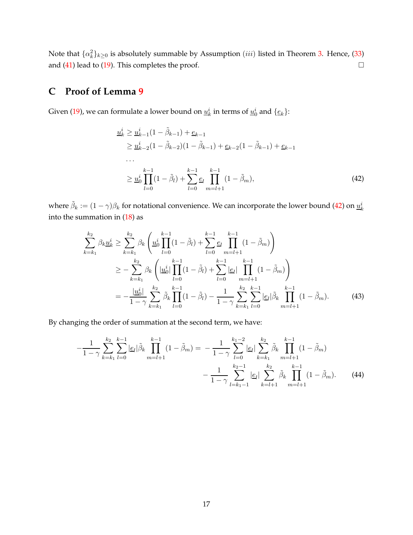Note that  $\{\alpha_k^2\}_{k\geq 0}$  is absolutely summable by Assumption  $(iii)$  listed in Theorem [3.](#page-8-0) Hence, [\(33\)](#page-15-3) and  $(41)$  lead to  $(19)$ . This completes the proof.

## <span id="page-17-0"></span>**C Proof of Lemma [9](#page-12-0)**

Given [\(19\)](#page-11-3), we can formulate a lower bound on  $\underline{u}_k^i$  in terms of  $\underline{u}_0^i$  and  $\{\underline{e}_k\}$ :

<span id="page-17-1"></span>
$$
\begin{split} \n\frac{u_k^i}{\geq} \frac{u_{k-1}^i (1 - \tilde{\beta}_{k-1}) + \underline{e}_{k-1}}{u_{k-2}^i (1 - \tilde{\beta}_{k-2}) (1 - \tilde{\beta}_{k-1}) + \underline{e}_{k-2} (1 - \tilde{\beta}_{k-1}) + \underline{e}_{k-1}} \\ \n\cdots \\ \n&\geq \frac{u_0^i}{\omega_0^i} \prod_{l=0}^{k-1} (1 - \tilde{\beta}_l) + \sum_{l=0}^{k-1} \underline{e}_l \prod_{m=l+1}^{k-1} (1 - \tilde{\beta}_m), \n\end{split} \n\tag{42}
$$

where  $\tilde{\beta}_k := (1-\gamma)\beta_k$  for notational convenience. We can incorporate the lower bound [\(42\)](#page-17-1) on  $\underline{u}_k^i$ into the summation in [\(18\)](#page-11-1) as

<span id="page-17-2"></span>
$$
\sum_{k=k_1}^{k_2} \beta_k \underline{u}_k^i \ge \sum_{k=k_1}^{k_2} \beta_k \left( \underline{u}_0^i \prod_{l=0}^{k-1} (1 - \tilde{\beta}_l) + \sum_{l=0}^{k-1} \underline{e}_l \prod_{m=l+1}^{k-1} (1 - \tilde{\beta}_m) \right)
$$
  
\n
$$
\ge - \sum_{k=k_1}^{k_2} \beta_k \left( |\underline{u}_0^i| \prod_{l=0}^{k-1} (1 - \tilde{\beta}_l) + \sum_{l=0}^{k-1} |\underline{e}_l| \prod_{m=l+1}^{k-1} (1 - \tilde{\beta}_m) \right)
$$
  
\n
$$
= - \frac{|\underline{u}_0^i|}{1 - \gamma} \sum_{k=k_1}^{k_2} \tilde{\beta}_k \prod_{l=0}^{k-1} (1 - \tilde{\beta}_l) - \frac{1}{1 - \gamma} \sum_{k=k_1}^{k_2} \sum_{l=0}^{k-1} |\underline{e}_l| \tilde{\beta}_k \prod_{m=l+1}^{k-1} (1 - \tilde{\beta}_m).
$$
 (43)

By changing the order of summation at the second term, we have:

<span id="page-17-3"></span>
$$
-\frac{1}{1-\gamma} \sum_{k=k_1}^{k_2} \sum_{l=0}^{k-1} |\underline{e}_l| \tilde{\beta}_k \prod_{m=l+1}^{k-1} (1-\tilde{\beta}_m) = -\frac{1}{1-\gamma} \sum_{l=0}^{k_1-2} |\underline{e}_l| \sum_{k=k_1}^{k_2} \tilde{\beta}_k \prod_{m=l+1}^{k-1} (1-\tilde{\beta}_m) -\frac{1}{1-\gamma} \sum_{l=k_1-1}^{k_2-1} |\underline{e}_l| \sum_{k=l+1}^{k_2} \tilde{\beta}_k \prod_{m=l+1}^{k-1} (1-\tilde{\beta}_m). \tag{44}
$$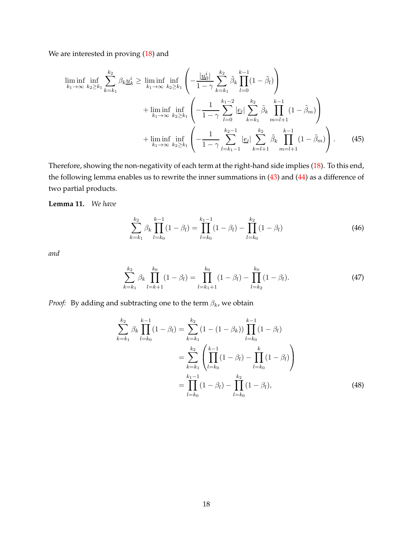We are interested in proving [\(18\)](#page-11-1) and

$$
\liminf_{k_1 \to \infty} \inf_{k_2 \ge k_1} \sum_{k=k_1}^{k_2} \beta_k \underline{u}_k^i \ge \liminf_{k_1 \to \infty} \inf_{k_2 \ge k_1} \left( -\frac{|\underline{u}_0^i|}{1 - \gamma} \sum_{k=k_1}^{k_2} \tilde{\beta}_k \prod_{l=0}^{k-1} (1 - \tilde{\beta}_l) \right) + \liminf_{k_1 \to \infty} \inf_{k_2 \ge k_1} \left( -\frac{1}{1 - \gamma} \sum_{l=0}^{k_1 - 2} |\underline{e}_l| \sum_{k=k_1}^{k_2} \tilde{\beta}_k \prod_{m=l+1}^{k-1} (1 - \tilde{\beta}_m) \right) + \liminf_{k_1 \to \infty} \inf_{k_2 \ge k_1} \left( -\frac{1}{1 - \gamma} \sum_{l=k_1 - 1}^{k_2 - 1} |\underline{e}_l| \sum_{k=l+1}^{k_2} \tilde{\beta}_k \prod_{m=l+1}^{k-1} (1 - \tilde{\beta}_m) \right). \tag{45}
$$

Therefore, showing the non-negativity of each term at the right-hand side implies [\(18\)](#page-11-1). To this end, the following lemma enables us to rewrite the inner summations in [\(43\)](#page-17-2) and [\(44\)](#page-17-3) as a difference of two partial products.

<span id="page-18-1"></span>**Lemma 11.** *We have*

<span id="page-18-2"></span>
$$
\sum_{k=k_1}^{k_2} \beta_k \prod_{l=k_0}^{k-1} (1 - \beta_l) = \prod_{l=k_0}^{k_1 - 1} (1 - \beta_l) - \prod_{l=k_0}^{k_2} (1 - \beta_l)
$$
 (46)

*and*

$$
\sum_{k=k_1}^{k_2} \beta_k \prod_{l=k+1}^{k_0} (1 - \beta_l) = \prod_{l=k_1+1}^{k_0} (1 - \beta_l) - \prod_{l=k_2}^{k_0} (1 - \beta_l). \tag{47}
$$

*Proof:* By adding and subtracting one to the term  $\beta_k$ , we obtain

<span id="page-18-0"></span>
$$
\sum_{k=k_1}^{k_2} \beta_k \prod_{l=k_0}^{k-1} (1 - \beta_l) = \sum_{k=k_1}^{k_2} (1 - (1 - \beta_k)) \prod_{l=k_0}^{k-1} (1 - \beta_l)
$$
  
= 
$$
\sum_{k=k_1}^{k_2} \left( \prod_{l=k_0}^{k-1} (1 - \beta_l) - \prod_{l=k_0}^{k} (1 - \beta_l) \right)
$$
  
= 
$$
\prod_{l=k_0}^{k_1-1} (1 - \beta_l) - \prod_{l=k_0}^{k_2} (1 - \beta_l),
$$
 (48)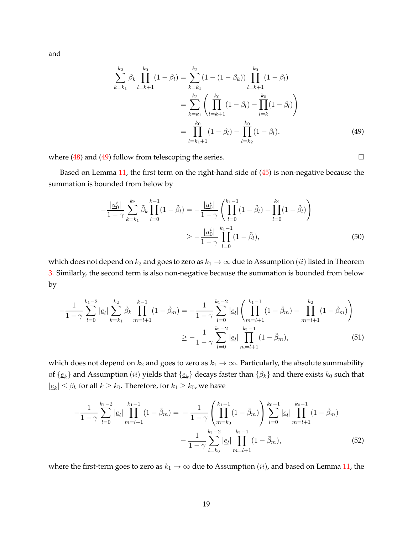and

<span id="page-19-0"></span>
$$
\sum_{k=k_1}^{k_2} \beta_k \prod_{l=k+1}^{k_0} (1 - \beta_l) = \sum_{k=k_1}^{k_2} (1 - (1 - \beta_k)) \prod_{l=k+1}^{k_0} (1 - \beta_l)
$$
  
= 
$$
\sum_{k=k_1}^{k_2} \left( \prod_{l=k+1}^{k_0} (1 - \beta_l) - \prod_{l=k}^{k_0} (1 - \beta_l) \right)
$$
  
= 
$$
\prod_{l=k_1+1}^{k_0} (1 - \beta_l) - \prod_{l=k_2}^{k_0} (1 - \beta_l),
$$
 (49)

where  $(48)$  and  $(49)$  follow from telescoping the series.  $\Box$ 

Based on Lemma [11,](#page-18-1) the first term on the right-hand side of [\(45\)](#page-18-2) is non-negative because the summation is bounded from below by

$$
-\frac{|\underline{u}_0^i|}{1-\gamma} \sum_{k=k_1}^{k_2} \tilde{\beta}_k \prod_{l=0}^{k-1} (1-\tilde{\beta}_l) = -\frac{|\underline{u}_0^i|}{1-\gamma} \left( \prod_{l=0}^{k_1-1} (1-\tilde{\beta}_l) - \prod_{l=0}^{k_2} (1-\tilde{\beta}_l) \right)
$$

$$
\geq -\frac{|\underline{u}_0^i|}{1-\gamma} \prod_{l=0}^{k_1-1} (1-\tilde{\beta}_l), \tag{50}
$$

which does not depend on  $k_2$  and goes to zero as  $k_1 \to \infty$  due to Assumption (*ii*) listed in Theorem [3.](#page-8-0) Similarly, the second term is also non-negative because the summation is bounded from below by

$$
-\frac{1}{1-\gamma} \sum_{l=0}^{k_1-2} |\underline{e}_l| \sum_{k=k_1}^{k_2} \tilde{\beta}_k \prod_{m=l+1}^{k-1} (1-\tilde{\beta}_m) = -\frac{1}{1-\gamma} \sum_{l=0}^{k_1-2} |\underline{e}_l| \left( \prod_{m=l+1}^{k_1-1} (1-\tilde{\beta}_m) - \prod_{m=l+1}^{k_2} (1-\tilde{\beta}_m) \right)
$$

$$
\geq -\frac{1}{1-\gamma} \sum_{l=0}^{k_1-2} |\underline{e}_l| \prod_{m=l+1}^{k_1-1} (1-\tilde{\beta}_m), \tag{51}
$$

which does not depend on  $k_2$  and goes to zero as  $k_1 \rightarrow \infty$ . Particularly, the absolute summability of  $\{e_k\}$  and Assumption (ii) yields that  $\{e_k\}$  decays faster than  $\{\beta_k\}$  and there exists  $k_0$  such that  $|\underline{e}_k| \leq \beta_k$  for all  $k \geq k_0$ . Therefore, for  $k_1 \geq k_0$ , we have

$$
-\frac{1}{1-\gamma} \sum_{l=0}^{k_1-2} |\underline{e}_l| \prod_{m=l+1}^{k_1-1} (1-\tilde{\beta}_m) = -\frac{1}{1-\gamma} \left( \prod_{m=k_0}^{k_1-1} (1-\tilde{\beta}_m) \right) \sum_{l=0}^{k_0-1} |\underline{e}_l| \prod_{m=l+1}^{k_0-1} (1-\tilde{\beta}_m) -\frac{1}{1-\gamma} \sum_{l=k_0}^{k_1-2} |\underline{e}_l| \prod_{m=l+1}^{k_1-1} (1-\tilde{\beta}_m), \tag{52}
$$

where the first-term goes to zero as  $k_1 \rightarrow \infty$  due to Assumption (*ii*), and based on Lemma [11,](#page-18-1) the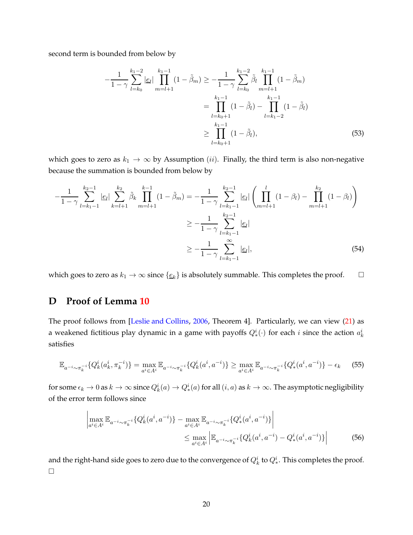second term is bounded from below by

$$
-\frac{1}{1-\gamma} \sum_{l=k_0}^{k_1-2} |\underline{e}_l| \prod_{m=l+1}^{k_1-1} (1-\tilde{\beta}_m) \ge -\frac{1}{1-\gamma} \sum_{l=k_0}^{k_1-2} \tilde{\beta}_l \prod_{m=l+1}^{k_1-1} (1-\tilde{\beta}_m)
$$
  

$$
= \prod_{l=k_0+1}^{k_1-1} (1-\tilde{\beta}_l) - \prod_{l=k_1-2}^{k_1-1} (1-\tilde{\beta}_l)
$$
  

$$
\ge \prod_{l=k_0+1}^{k_1-1} (1-\tilde{\beta}_l), \tag{53}
$$

which goes to zero as  $k_1 \to \infty$  by Assumption (ii). Finally, the third term is also non-negative because the summation is bounded from below by

$$
-\frac{1}{1-\gamma} \sum_{l=k_1-1}^{k_2-1} |\underline{e}_l| \sum_{k=l+1}^{k_2} \tilde{\beta}_k \prod_{m=l+1}^{k-1} (1-\tilde{\beta}_m) = -\frac{1}{1-\gamma} \sum_{l=k_1-1}^{k_2-1} |\underline{e}_l| \left( \prod_{m=l+1}^{l} (1-\beta_l) - \prod_{m=l+1}^{k_2} (1-\beta_l) \right)
$$
  

$$
\geq -\frac{1}{1-\gamma} \sum_{l=k_1-1}^{k_2-1} |\underline{e}_l|
$$
  

$$
\geq -\frac{1}{1-\gamma} \sum_{l=k_1-1}^{\infty} |\underline{e}_l|,
$$
 (54)

<span id="page-20-0"></span>which goes to zero as  $k_1 \to \infty$  since  $\{\underline{e}_k\}$  is absolutely summable. This completes the proof.  $\Box$ 

## **D Proof of Lemma [10](#page-12-3)**

The proof follows from [\[Leslie and Collins](#page-22-16), [2006](#page-22-16), Theorem 4]. Particularly, we can view [\(21\)](#page-12-1) as a weakened fictitious play dynamic in a game with payoffs  $Q_*^i(\cdot)$  for each  $i$  since the action  $a_k^i$ satisfies

$$
\mathbb{E}_{a^{-i}\sim\pi_k^{-i}}\{Q_k^i(a_k^i,\pi_k^{-i})\} = \max_{a^i\in A^i} \mathbb{E}_{a^{-i}\sim\pi_k^{-i}}\{Q_k^i(a^i,a^{-i})\} \ge \max_{a^i\in A^i} \mathbb{E}_{a^{-i}\sim\pi_k^{-i}}\{Q_*^i(a^i,a^{-i})\} - \epsilon_k \tag{55}
$$

for some  $\epsilon_k\to 0$  as  $k\to\infty$  since  $Q^i_k(a)\to Q^i_*(a)$  for all  $(i,a)$  as  $k\to\infty.$  The asymptotic negligibility of the error term follows since

$$
\left| \max_{a^i \in A^i} \mathbb{E}_{a^{-i} \sim \pi_k^{-i}} \{ Q_k^i(a^i, a^{-i}) \} - \max_{a^i \in A^i} \mathbb{E}_{a^{-i} \sim \pi_k^{-i}} \{ Q_*^i(a^i, a^{-i}) \} \right|
$$
  
 
$$
\leq \max_{a^i \in A^i} \left| \mathbb{E}_{a^{-i} \sim \pi_k^{-i}} \{ Q_k^i(a^i, a^{-i}) - Q_*^i(a^i, a^{-i}) \} \right|
$$
 (56)

and the right-hand side goes to zero due to the convergence of  $Q^i_k$  to  $Q^i_*$  . This completes the proof.  $\Box$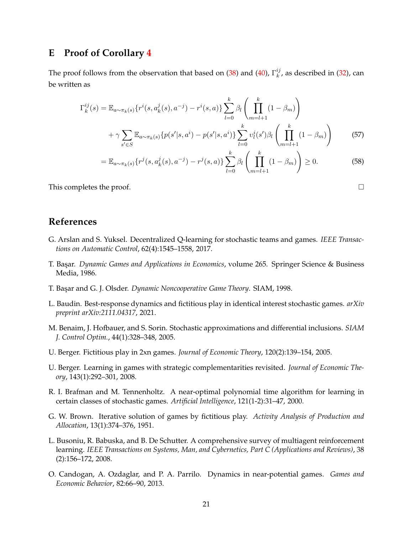## <span id="page-21-11"></span>**E Proof of Corollary [4](#page-8-1)**

The proof follows from the observation that based on [\(38\)](#page-16-5) and [\(40\)](#page-16-2),  $\Gamma_k^{ij}$  $\binom{y}{k}$ , as described in [\(32\)](#page-15-4), can be written as

$$
\Gamma_k^{ij}(s) = \mathbb{E}_{a \sim \pi_k(s)} \{ r^i(s, a_k^j(s), a^{-j}) - r^i(s, a) \} \sum_{l=0}^k \beta_l \left( \prod_{m=l+1}^k (1 - \beta_m) \right)
$$

$$
+ \gamma \sum_{s' \in S} \mathbb{E}_{a \sim \pi_k(s)} \{ p(s'|s, a^i) - p(s'|s, a^i) \} \sum_{l=0}^k v_l^i(s') \beta_l \left( \prod_{m=l+1}^k (1 - \beta_m) \right)
$$
(57)

$$
= \mathbb{E}_{a \sim \pi_k(s)} \{r^j(s, a^j_k(s), a^{-j}) - r^j(s, a)\} \sum_{l=0}^k \beta_l \left( \prod_{m=l+1}^k (1 - \beta_m) \right) \ge 0.
$$
 (58)

This completes the proof.  $\Box$ 

## **References**

- <span id="page-21-6"></span>G. Arslan and S. Yuksel. Decentralized Q-learning for stochastic teams and games. *IEEE Transactions on Automatic Control*, 62(4):1545–1558, 2017.
- <span id="page-21-7"></span>T. Bas¸ar. *Dynamic Games and Applications in Economics*, volume 265. Springer Science & Business Media, 1986.
- <span id="page-21-0"></span>T. Bas¸ar and G. J. Olsder. *Dynamic Noncooperative Game Theory*. SIAM, 1998.
- <span id="page-21-2"></span>L. Baudin. Best-response dynamics and fictitious play in identical interest stochastic games. *arXiv preprint arXiv:2111.04317*, 2021.
- <span id="page-21-9"></span>M. Benaim, J. Hofbauer, and S. Sorin. Stochastic approximations and differential inclusions. *SIAM J. Control Optim.*, 44(1):328–348, 2005.
- <span id="page-21-4"></span>U. Berger. Fictitious play in 2xn games. *Journal of Economic Theory*, 120(2):139–154, 2005.
- <span id="page-21-5"></span>U. Berger. Learning in games with strategic complementarities revisited. *Journal of Economic Theory*, 143(1):292–301, 2008.
- <span id="page-21-8"></span>R. I. Brafman and M. Tennenholtz. A near-optimal polynomial time algorithm for learning in certain classes of stochastic games. *Artificial Intelligence*, 121(1-2):31–47, 2000.
- <span id="page-21-3"></span>G. W. Brown. Iterative solution of games by fictitious play. *Activity Analysis of Production and Allocation*, 13(1):374–376, 1951.
- <span id="page-21-1"></span>L. Busoniu, R. Babuska, and B. De Schutter. A comprehensive survey of multiagent reinforcement learning. *IEEE Transactions on Systems, Man, and Cybernetics, Part C (Applications and Reviews)*, 38 (2):156–172, 2008.
- <span id="page-21-10"></span>O. Candogan, A. Ozdaglar, and P. A. Parrilo. Dynamics in near-potential games. *Games and Economic Behavior*, 82:66–90, 2013.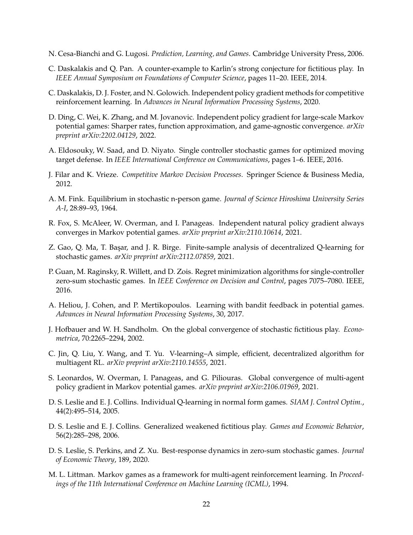- <span id="page-22-12"></span>N. Cesa-Bianchi and G. Lugosi. *Prediction, Learning, and Games*. Cambridge University Press, 2006.
- <span id="page-22-17"></span>C. Daskalakis and Q. Pan. A counter-example to Karlin's strong conjecture for fictitious play. In *IEEE Annual Symposium on Foundations of Computer Science*, pages 11–20. IEEE, 2014.
- <span id="page-22-5"></span>C. Daskalakis, D. J. Foster, and N. Golowich. Independent policy gradient methods for competitive reinforcement learning. In *Advances in Neural Information Processing Systems*, 2020.
- <span id="page-22-8"></span>D. Ding, C. Wei, K. Zhang, and M. Jovanovic. Independent policy gradient for large-scale Markov potential games: Sharper rates, function approximation, and game-agnostic convergence. *arXiv preprint arXiv:2202.04129*, 2022.
- <span id="page-22-11"></span>A. Eldosouky, W. Saad, and D. Niyato. Single controller stochastic games for optimized moving target defense. In *IEEE International Conference on Communications*, pages 1–6. IEEE, 2016.
- <span id="page-22-10"></span>J. Filar and K. Vrieze. *Competitive Markov Decision Processes*. Springer Science & Business Media, 2012.
- <span id="page-22-14"></span>A. M. Fink. Equilibrium in stochastic n-person game. *Journal of Science Hiroshima University Series A-I*, 28:89–93, 1964.
- <span id="page-22-7"></span>R. Fox, S. McAleer, W. Overman, and I. Panageas. Independent natural policy gradient always converges in Markov potential games. *arXiv preprint arXiv:2110.10614*, 2021.
- <span id="page-22-4"></span>Z. Gao, Q. Ma, T. Başar, and J. R. Birge. Finite-sample analysis of decentralized Q-learning for stochastic games. *arXiv preprint arXiv:2112.07859*, 2021.
- <span id="page-22-13"></span>P. Guan, M. Raginsky, R. Willett, and D. Zois. Regret minimization algorithms for single-controller zero-sum stochastic games. In *IEEE Conference on Decision and Control*, pages 7075–7080. IEEE, 2016.
- <span id="page-22-15"></span>A. Heliou, J. Cohen, and P. Mertikopoulos. Learning with bandit feedback in potential games. *Advances in Neural Information Processing Systems*, 30, 2017.
- <span id="page-22-1"></span>J. Hofbauer and W. H. Sandholm. On the global convergence of stochastic fictitious play. *Econometrica*, 70:2265–2294, 2002.
- <span id="page-22-9"></span>C. Jin, Q. Liu, Y. Wang, and T. Yu. V-learning–A simple, efficient, decentralized algorithm for multiagent RL. *arXiv preprint arXiv:2110.14555*, 2021.
- <span id="page-22-6"></span>S. Leonardos, W. Overman, I. Panageas, and G. Piliouras. Global convergence of multi-agent policy gradient in Markov potential games. *arXiv preprint arXiv:2106.01969*, 2021.
- <span id="page-22-2"></span>D. S. Leslie and E. J. Collins. Individual Q-learning in normal form games. *SIAM J. Control Optim.*, 44(2):495–514, 2005.
- <span id="page-22-16"></span>D. S. Leslie and E. J. Collins. Generalized weakened fictitious play. *Games and Economic Behavior*, 56(2):285–298, 2006.
- <span id="page-22-3"></span>D. S. Leslie, S. Perkins, and Z. Xu. Best-response dynamics in zero-sum stochastic games. *Journal of Economic Theory*, 189, 2020.
- <span id="page-22-0"></span>M. L. Littman. Markov games as a framework for multi-agent reinforcement learning. In *Proceedings of the 11th International Conference on Machine Learning (ICML)*, 1994.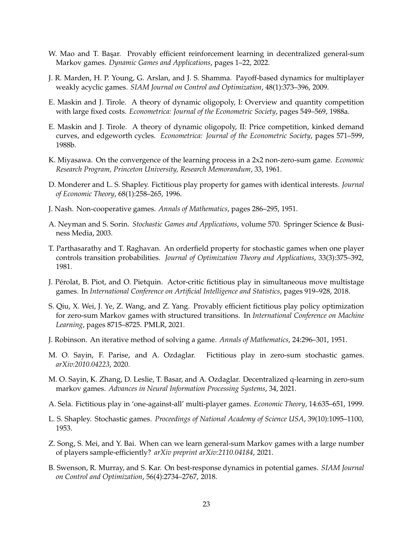- <span id="page-23-13"></span>W. Mao and T. Başar. Provably efficient reinforcement learning in decentralized general-sum Markov games. *Dynamic Games and Applications*, pages 1–22, 2022.
- <span id="page-23-4"></span>J. R. Marden, H. P. Young, G. Arslan, and J. S. Shamma. Payoff-based dynamics for multiplayer weakly acyclic games. *SIAM Journal on Control and Optimization*, 48(1):373–396, 2009.
- <span id="page-23-16"></span>E. Maskin and J. Tirole. A theory of dynamic oligopoly, I: Overview and quantity competition with large fixed costs. *Econometrica: Journal of the Econometric Society*, pages 549–569, 1988a.
- <span id="page-23-17"></span>E. Maskin and J. Tirole. A theory of dynamic oligopoly, II: Price competition, kinked demand curves, and edgeworth cycles. *Econometrica: Journal of the Econometric Society*, pages 571–599, 1988b.
- <span id="page-23-8"></span>K. Miyasawa. On the convergence of the learning process in a 2x2 non-zero-sum game. *Economic Research Program, Princeton University, Research Memorandum*, 33, 1961.
- <span id="page-23-7"></span>D. Monderer and L. S. Shapley. Fictitious play property for games with identical interests. *Journal of Economic Theory*, 68(1):258–265, 1996.
- <span id="page-23-3"></span>J. Nash. Non-cooperative games. *Annals of Mathematics*, pages 286–295, 1951.
- <span id="page-23-2"></span>A. Neyman and S. Sorin. *Stochastic Games and Applications*, volume 570. Springer Science & Business Media, 2003.
- <span id="page-23-14"></span>T. Parthasarathy and T. Raghavan. An orderfield property for stochastic games when one player controls transition probabilities. *Journal of Optimization Theory and Applications*, 33(3):375–392, 1981.
- <span id="page-23-10"></span>J. Pérolat, B. Piot, and O. Pietquin. Actor-critic fictitious play in simultaneous move multistage games. In *International Conference on Artificial Intelligence and Statistics*, pages 919–928, 2018.
- <span id="page-23-15"></span>S. Qiu, X. Wei, J. Ye, Z. Wang, and Z. Yang. Provably efficient fictitious play policy optimization for zero-sum Markov games with structured transitions. In *International Conference on Machine Learning*, pages 8715–8725. PMLR, 2021.
- <span id="page-23-6"></span>J. Robinson. An iterative method of solving a game. *Annals of Mathematics*, 24:296–301, 1951.
- <span id="page-23-0"></span>M. O. Sayin, F. Parise, and A. Ozdaglar. Fictitious play in zero-sum stochastic games. *arXiv:2010.04223*, 2020.
- <span id="page-23-11"></span>M. O. Sayin, K. Zhang, D. Leslie, T. Basar, and A. Ozdaglar. Decentralized q-learning in zero-sum markov games. *Advances in Neural Information Processing Systems*, 34, 2021.
- <span id="page-23-9"></span>A. Sela. Fictitious play in 'one-against-all' multi-player games. *Economic Theory*, 14:635–651, 1999.
- <span id="page-23-1"></span>L. S. Shapley. Stochastic games. *Proceedings of National Academy of Science USA*, 39(10):1095–1100, 1953.
- <span id="page-23-12"></span>Z. Song, S. Mei, and Y. Bai. When can we learn general-sum Markov games with a large number of players sample-efficiently? *arXiv preprint arXiv:2110.04184*, 2021.
- <span id="page-23-5"></span>B. Swenson, R. Murray, and S. Kar. On best-response dynamics in potential games. *SIAM Journal on Control and Optimization*, 56(4):2734–2767, 2018.